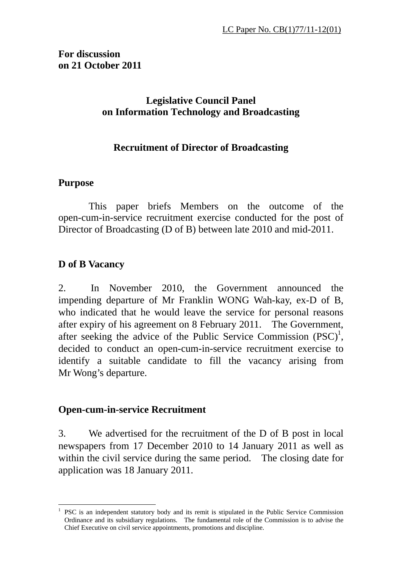# **Legislative Council Panel on Information Technology and Broadcasting**

# **Recruitment of Director of Broadcasting**

## **Purpose**

 This paper briefs Members on the outcome of the open-cum-in-service recruitment exercise conducted for the post of Director of Broadcasting (D of B) between late 2010 and mid-2011.

# **D of B Vacancy**

2. In November 2010, the Government announced the impending departure of Mr Franklin WONG Wah-kay, ex-D of B, who indicated that he would leave the service for personal reasons after expiry of his agreement on 8 February 2011. The Government, after seeking the advice of the Public Service Commission  $(PSC)^1$ , decided to conduct an open-cum-in-service recruitment exercise to identify a suitable candidate to fill the vacancy arising from Mr Wong's departure.

## **Open-cum-in-service Recruitment**

3. We advertised for the recruitment of the D of B post in local newspapers from 17 December 2010 to 14 January 2011 as well as within the civil service during the same period. The closing date for application was 18 January 2011.

 $\overline{a}$ 1 PSC is an independent statutory body and its remit is stipulated in the Public Service Commission Ordinance and its subsidiary regulations. The fundamental role of the Commission is to advise the Chief Executive on civil service appointments, promotions and discipline.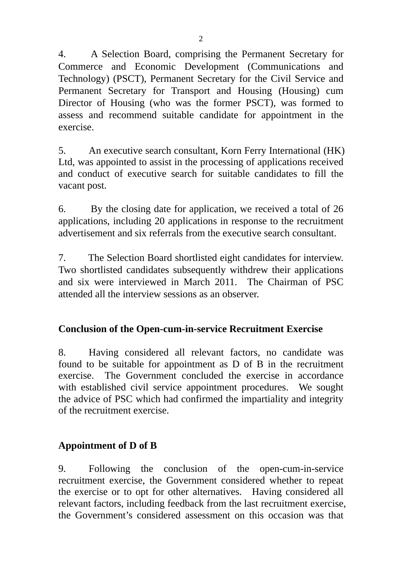4. A Selection Board, comprising the Permanent Secretary for Commerce and Economic Development (Communications and Technology) (PSCT), Permanent Secretary for the Civil Service and Permanent Secretary for Transport and Housing (Housing) cum Director of Housing (who was the former PSCT), was formed to assess and recommend suitable candidate for appointment in the exercise.

5. An executive search consultant, Korn Ferry International (HK) Ltd, was appointed to assist in the processing of applications received and conduct of executive search for suitable candidates to fill the vacant post.

6. By the closing date for application, we received a total of 26 applications, including 20 applications in response to the recruitment advertisement and six referrals from the executive search consultant.

7. The Selection Board shortlisted eight candidates for interview. Two shortlisted candidates subsequently withdrew their applications and six were interviewed in March 2011. The Chairman of PSC attended all the interview sessions as an observer.

# **Conclusion of the Open-cum-in-service Recruitment Exercise**

8. Having considered all relevant factors, no candidate was found to be suitable for appointment as D of B in the recruitment exercise. The Government concluded the exercise in accordance with established civil service appointment procedures. We sought the advice of PSC which had confirmed the impartiality and integrity of the recruitment exercise.

# **Appointment of D of B**

9. Following the conclusion of the open-cum-in-service recruitment exercise, the Government considered whether to repeat the exercise or to opt for other alternatives. Having considered all relevant factors, including feedback from the last recruitment exercise, the Government's considered assessment on this occasion was that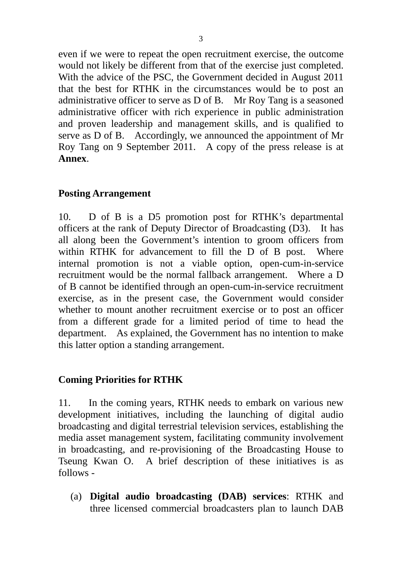even if we were to repeat the open recruitment exercise, the outcome would not likely be different from that of the exercise just completed. With the advice of the PSC, the Government decided in August 2011 that the best for RTHK in the circumstances would be to post an administrative officer to serve as D of B. Mr Roy Tang is a seasoned administrative officer with rich experience in public administration and proven leadership and management skills, and is qualified to serve as D of B. Accordingly, we announced the appointment of Mr Roy Tang on 9 September 2011. A copy of the press release is at **Annex**.

## **Posting Arrangement**

10. D of B is a D5 promotion post for RTHK's departmental officers at the rank of Deputy Director of Broadcasting (D3). It has all along been the Government's intention to groom officers from within RTHK for advancement to fill the D of B post. Where internal promotion is not a viable option, open-cum-in-service recruitment would be the normal fallback arrangement. Where a D of B cannot be identified through an open-cum-in-service recruitment exercise, as in the present case, the Government would consider whether to mount another recruitment exercise or to post an officer from a different grade for a limited period of time to head the department. As explained, the Government has no intention to make this latter option a standing arrangement.

### **Coming Priorities for RTHK**

11. In the coming years, RTHK needs to embark on various new development initiatives, including the launching of digital audio broadcasting and digital terrestrial television services, establishing the media asset management system, facilitating community involvement in broadcasting, and re-provisioning of the Broadcasting House to Tseung Kwan O. A brief description of these initiatives is as follows -

(a) **Digital audio broadcasting (DAB) services**: RTHK and three licensed commercial broadcasters plan to launch DAB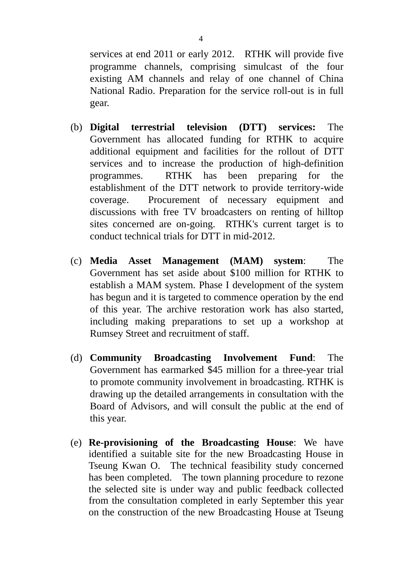services at end 2011 or early 2012. RTHK will provide five programme channels, comprising simulcast of the four existing AM channels and relay of one channel of China National Radio. Preparation for the service roll-out is in full gear.

- (b) **Digital terrestrial television (DTT) services:** The Government has allocated funding for RTHK to acquire additional equipment and facilities for the rollout of DTT services and to increase the production of high-definition programmes. RTHK has been preparing for the establishment of the DTT network to provide territory-wide coverage. Procurement of necessary equipment and discussions with free TV broadcasters on renting of hilltop sites concerned are on-going. RTHK's current target is to conduct technical trials for DTT in mid-2012.
- (c) **Media Asset Management (MAM) system**: The Government has set aside about \$100 million for RTHK to establish a MAM system. Phase I development of the system has begun and it is targeted to commence operation by the end of this year. The archive restoration work has also started, including making preparations to set up a workshop at Rumsey Street and recruitment of staff.
- (d) **Community Broadcasting Involvement Fund**: The Government has earmarked \$45 million for a three-year trial to promote community involvement in broadcasting. RTHK is drawing up the detailed arrangements in consultation with the Board of Advisors, and will consult the public at the end of this year.
- (e) **Re-provisioning of the Broadcasting House**: We have identified a suitable site for the new Broadcasting House in Tseung Kwan O. The technical feasibility study concerned has been completed. The town planning procedure to rezone the selected site is under way and public feedback collected from the consultation completed in early September this year on the construction of the new Broadcasting House at Tseung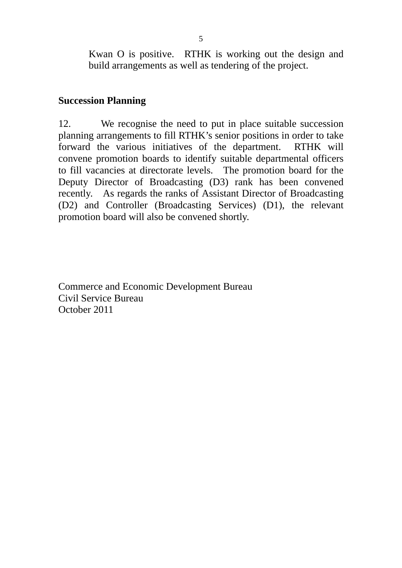Kwan O is positive. RTHK is working out the design and build arrangements as well as tendering of the project.

## **Succession Planning**

12. We recognise the need to put in place suitable succession planning arrangements to fill RTHK's senior positions in order to take forward the various initiatives of the department. RTHK will convene promotion boards to identify suitable departmental officers to fill vacancies at directorate levels. The promotion board for the Deputy Director of Broadcasting (D3) rank has been convened recently. As regards the ranks of Assistant Director of Broadcasting (D2) and Controller (Broadcasting Services) (D1), the relevant promotion board will also be convened shortly.

Commerce and Economic Development Bureau Civil Service Bureau October 2011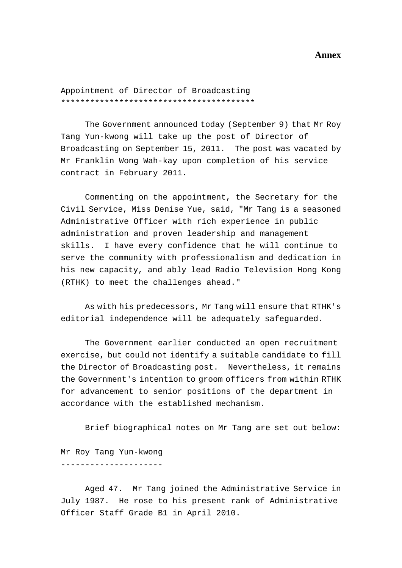#### **Annex**

Appointment of Director of Broadcasting \*\*\*\*\*\*\*\*\*\*\*\*\*\*\*\*\*\*\*\*\*\*\*\*\*\*\*\*\*\*\*\*\*\*\*\*\*\*\*\*

 The Government announced today (September 9) that Mr Roy Tang Yun-kwong will take up the post of Director of Broadcasting on September 15, 2011. The post was vacated by Mr Franklin Wong Wah-kay upon completion of his service contract in February 2011.

 Commenting on the appointment, the Secretary for the Civil Service, Miss Denise Yue, said, "Mr Tang is a seasoned Administrative Officer with rich experience in public administration and proven leadership and management skills. I have every confidence that he will continue to serve the community with professionalism and dedication in his new capacity, and ably lead Radio Television Hong Kong (RTHK) to meet the challenges ahead."

 As with his predecessors, Mr Tang will ensure that RTHK's editorial independence will be adequately safeguarded.

 The Government earlier conducted an open recruitment exercise, but could not identify a suitable candidate to fill the Director of Broadcasting post. Nevertheless, it remains the Government's intention to groom officers from within RTHK for advancement to senior positions of the department in accordance with the established mechanism.

Brief biographical notes on Mr Tang are set out below:

Mr Roy Tang Yun-kwong ---------------------

 Aged 47. Mr Tang joined the Administrative Service in July 1987. He rose to his present rank of Administrative Officer Staff Grade B1 in April 2010.